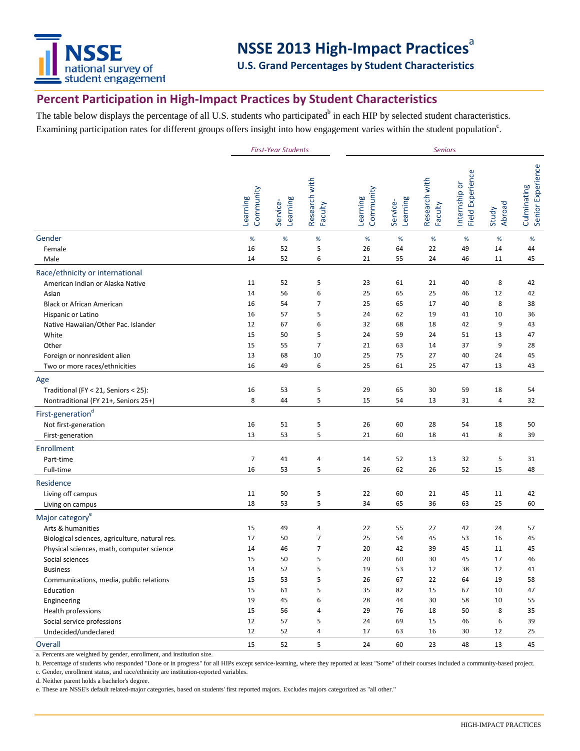

## **NSSE 2013 High-Impact Practices**<sup>a</sup>

**U.S. Grand Percentages by Student Characteristics**

## **Percent Participation in High-Impact Practices by Student Characteristics**

The table below displays the percentage of all U.S. students who participated<sup>b</sup> in each HIP by selected student characteristics. Examining participation rates for different groups offers insight into how engagement varies within the student population<sup>c</sup>.

|                                                                                     | <b>First-Year Students</b> |                      |                          | <b>Seniors</b>        |                      |                          |                                   |                 |                                  |
|-------------------------------------------------------------------------------------|----------------------------|----------------------|--------------------------|-----------------------|----------------------|--------------------------|-----------------------------------|-----------------|----------------------------------|
|                                                                                     | Community<br>Learning      | Learning<br>Service- | Research with<br>Faculty | Community<br>Learning | Learning<br>Service- | Research with<br>Faculty | Internship or<br>Field Experience | Abroad<br>Study | Culminating<br>Senior Experience |
| Gender                                                                              | $\%$                       | $\%$                 | $\%$                     | $\%$                  | %                    | $\%$                     | $\%$                              | $\%$            | $\%$                             |
| Female                                                                              | 16                         | 52                   | 5                        | 26                    | 64                   | 22                       | 49                                | 14              | 44                               |
| Male                                                                                | 14                         | 52                   | 6                        | 21                    | 55                   | 24                       | 46                                | 11              | 45                               |
| Race/ethnicity or international                                                     |                            |                      |                          |                       |                      |                          |                                   |                 |                                  |
| American Indian or Alaska Native                                                    | 11                         | 52                   | 5                        | 23                    | 61                   | 21                       | 40                                | 8               | 42                               |
| Asian                                                                               | 14                         | 56                   | 6                        | 25                    | 65                   | 25                       | 46                                | 12              | 42                               |
| <b>Black or African American</b>                                                    | 16                         | 54                   | $\overline{7}$           | 25                    | 65                   | 17                       | 40                                | 8               | 38                               |
| Hispanic or Latino                                                                  | 16                         | 57                   | 5                        | 24                    | 62                   | 19                       | 41                                | 10              | 36                               |
| Native Hawaiian/Other Pac. Islander                                                 | 12                         | 67                   | 6                        | 32                    | 68                   | 18                       | 42                                | 9               | 43                               |
| White                                                                               | 15                         | 50                   | 5                        | 24                    | 59                   | 24                       | 51                                | 13              | 47                               |
| Other                                                                               | 15                         | 55                   | $\overline{7}$           | 21                    | 63                   | 14                       | 37                                | 9               | 28                               |
| Foreign or nonresident alien                                                        | 13                         | 68                   | 10                       | 25                    | 75                   | 27                       | 40                                | 24              | 45                               |
| Two or more races/ethnicities                                                       | 16                         | 49                   | 6                        | 25                    | 61                   | 25                       | 47                                | 13              | 43                               |
| Age<br>Traditional (FY < 21, Seniors < 25):<br>Nontraditional (FY 21+, Seniors 25+) | 16<br>8                    | 53<br>44             | 5<br>5                   | 29<br>15              | 65<br>54             | 30<br>13                 | 59<br>31                          | 18<br>4         | 54<br>32                         |
| First-generation <sup>d</sup>                                                       |                            |                      |                          |                       |                      |                          |                                   |                 |                                  |
| Not first-generation                                                                | 16                         | 51                   | 5                        | 26                    | 60                   | 28                       | 54                                | 18              | 50                               |
| First-generation                                                                    | 13                         | 53                   | 5                        | 21                    | 60                   | 18                       | 41                                | 8               | 39                               |
|                                                                                     |                            |                      |                          |                       |                      |                          |                                   |                 |                                  |
| <b>Enrollment</b>                                                                   |                            |                      |                          |                       |                      |                          |                                   |                 |                                  |
| Part-time                                                                           | $\overline{7}$<br>16       | 41<br>53             | 4<br>5                   | 14<br>26              | 52<br>62             | 13<br>26                 | 32<br>52                          | 5<br>15         | 31<br>48                         |
| Full-time                                                                           |                            |                      |                          |                       |                      |                          |                                   |                 |                                  |
| Residence                                                                           |                            |                      |                          |                       |                      |                          |                                   |                 |                                  |
| Living off campus                                                                   | 11                         | 50                   | 5                        | 22                    | 60                   | 21                       | 45                                | 11              | 42                               |
| Living on campus                                                                    | 18                         | 53                   | 5                        | 34                    | 65                   | 36                       | 63                                | 25              | 60                               |
| Major category <sup>e</sup>                                                         |                            |                      |                          |                       |                      |                          |                                   |                 |                                  |
| Arts & humanities                                                                   | 15                         | 49                   | 4                        | 22                    | 55                   | 27                       | 42                                | 24              | 57                               |
| Biological sciences, agriculture, natural res.                                      | 17                         | 50                   | $\overline{7}$           | 25                    | 54                   | 45                       | 53                                | 16              | 45                               |
| Physical sciences, math, computer science                                           | 14                         | 46                   | 7                        | 20                    | 42                   | 39                       | 45                                | 11              | 45                               |
| Social sciences                                                                     | 15                         | 50                   | 5                        | 20                    | 60                   | 30                       | 45                                | 17              | 46                               |
| <b>Business</b>                                                                     | 14                         | 52                   | 5                        | 19                    | 53                   | 12                       | 38                                | 12              | 41                               |
| Communications, media, public relations                                             | 15                         | 53                   | 5                        | 26                    | 67                   | 22                       | 64                                | 19              | 58                               |
| Education                                                                           | 15                         | 61                   | 5                        | 35                    | 82                   | 15                       | 67                                | $10\,$          | 47                               |
| Engineering                                                                         | 19                         | 45                   | 6                        | 28                    | 44                   | 30                       | 58                                | 10              | 55                               |
| Health professions                                                                  | 15                         | 56                   | 4                        | 29                    | 76                   | 18                       | 50                                | 8               | 35                               |
| Social service professions                                                          | 12                         | 57                   | 5                        | 24                    | 69                   | 15                       | 46                                | 6               | 39                               |
| Undecided/undeclared                                                                | 12                         | 52                   | 4                        | 17                    | 63                   | 16                       | 30                                | 12              | 25                               |
| Overall                                                                             | 15                         | 52                   | 5                        | 24                    | 60                   | 23                       | 48                                | 13              | 45                               |

a. Percents are weighted by gender, enrollment, and institution size.

b. Percentage of students who responded "Done or in progress" for all HIPs except service-learning, where they reported at least "Some" of their courses included a community-based project.

c. Gender, enrollment status, and race/ethnicity are institution-reported variables.

d. Neither parent holds a bachelor's degree.

e. These are NSSE's default related-major categories, based on students' first reported majors. Excludes majors categorized as "all other."